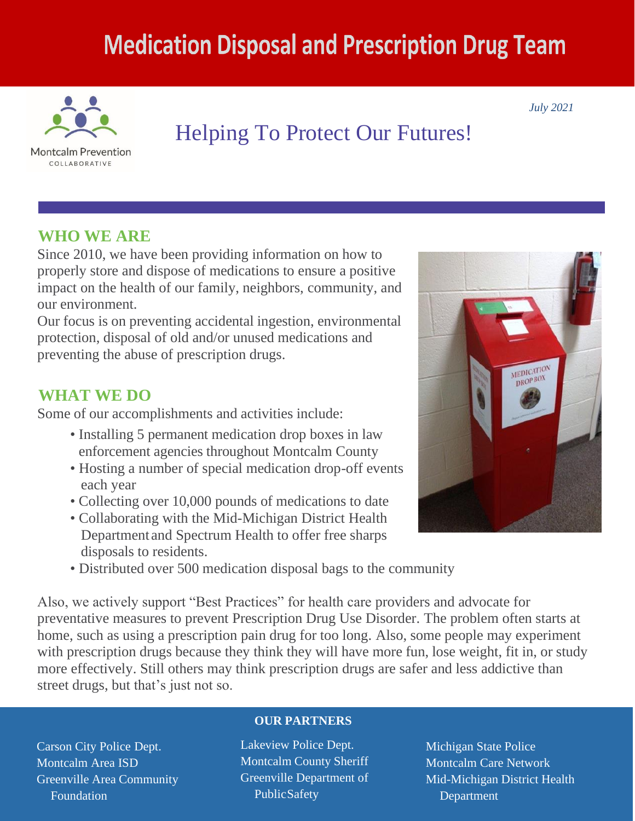# **Medication Disposal and Prescription Drug Team**



## Helping To Protect Our Futures!

### **WHO WE ARE**

Since 2010, we have been providing information on how to properly store and dispose of medications to ensure a positive impact on the health of our family, neighbors, community, and our environment.

Our focus is on preventing accidental ingestion, environmental protection, disposal of old and/or unused medications and preventing the abuse of prescription drugs.

### **WHAT WE DO**

Some of our accomplishments and activities include:

- Installing 5 permanent medication drop boxes in law enforcement agencies throughout Montcalm County
- Hosting a number of special medication drop-off events each year
- Collecting over 10,000 pounds of medications to date
- Collaborating with the Mid-Michigan District Health Department and Spectrum Health to offer free sharps disposals to residents.
- Distributed over 500 medication disposal bags to the community

Also, we actively support "Best Practices" for health care providers and advocate for preventative measures to prevent Prescription Drug Use Disorder. The problem often starts at home, such as using a prescription pain drug for too long. Also, some people may experiment with prescription drugs because they think they will have more fun, lose weight, fit in, or study more effectively. Still others may think prescription drugs are safer and less addictive than street drugs, but that's just not so.

Carson City Police Dept. Montcalm Area ISD Greenville Area Community Foundation

#### **OUR PARTNERS**

Lakeview Police Dept. Montcalm County Sheriff Greenville Department of Public Safety

Michigan State Police Montcalm Care Network Mid-Michigan District Health Department



*July 2021*